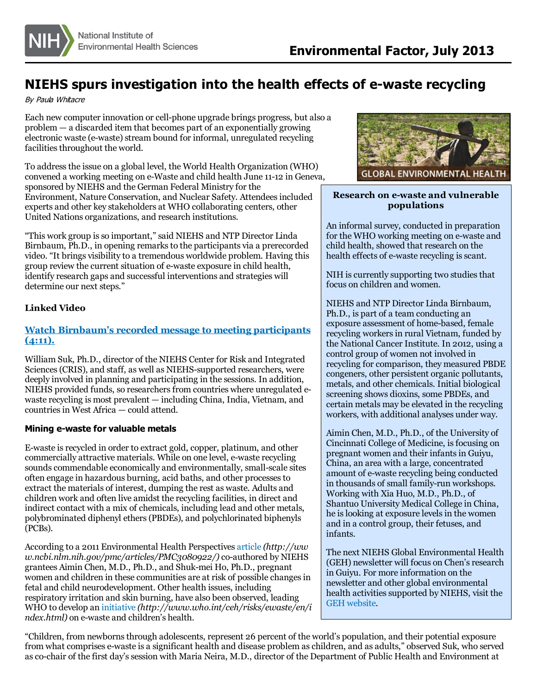

# **NIEHS spurs investigation into the health effects of e-waste recycling**

By Paula Whitacre

Each new computer innovation orcell-phone upgrade brings progress, but also a problem — a discarded item that becomes part of an exponentially growing electronic waste (e-waste) stream bound for informal, unregulated recycling facilities throughout the world.

To addressthe issue on a global level, the World Health Organization (WHO) convened a working meeting on e-Waste and child health June 11-12 in Geneva, sponsored by NIEHS and the German Federal Ministry for the Environment, Nature Conservation, and Nuclear Safety. Attendeesincluded experts and other key stakeholders at WHO collaborating centers, other United Nations organizations, and research institutions.

"This work group isso important," said NIEHS and NTP Director Linda Birnbaum, Ph.D., in opening remarks to the participants via a prerecorded video. "It brings visibility to a tremendous worldwide problem. Having this group review the current situation of e-waste exposure in child health, identify research gaps and successful interventions and strategies will determine our next steps."

#### **Linked Video**

# **Watch Birnbaum's recorded message to meeting [participants](http://www.niehs.nih.gov/news/assets/audiovideo/welcome_video_2013.mov) (4:11).**

William Suk, Ph.D., director of the NIEHS Center for Risk and Integrated Sciences (CRIS), and staff, as well as NIEHS-supported researchers, were deeply involved in planning and participating in the sessions. In addition, NIEHS provided funds, so researchers from countries where unregulated ewaste recycling is most prevalent — including China, India, Vietnam, and countriesin West Africa — could attend.

#### **Mining e-waste for valuable metals**

E-waste is recycled in order to extract gold, copper, platinum, and other commercially attractive materials. While on one level, e-waste recycling sounds commendable economically and environmentally, small-scale sites often engage in hazardous burning, acid baths, and other processesto extract the materials of interest, dumping the rest as waste. Adults and children work and often live amidst the recycling facilities, in direct and indirect contact with a mix of chemicals, including lead and other metals, polybrominated diphenyl ethers(PBDEs), and polychlorinated biphenyls (PCBs).

According to a 2011 Environmental Health Perspectives [article](http://www.ncbi.nlm.nih.gov/pmc/articles/PMC3080922/) *(http://ww w.ncbi.nlm.nih.gov/pmc/articles/PMC3080922/)*co-authored by NIEHS grantees Aimin Chen, M.D., Ph.D., and Shuk-mei Ho, Ph.D., pregnant women and children in these communities are at risk of possible changes in fetal and child neurodevelopment. Other health issues, including respiratory irritation and skin burning, have also been observed, leading WHO to develop an [initiative](http://www.who.int/ceh/risks/ewaste/en/index.html) *(http://www.who.int/ceh/risks/ewaste/en/i ndex.html)* on e-waste and children's health.



## **Research on e-waste and vulnerable populations**

An informal survey, conducted in preparation for the WHO working meeting on e-waste and child health, showed that research on the health effects of e-waste recycling is scant.

NIH is currently supporting two studies that focus on children and women.

NIEHS and NTP Director Linda Birnbaum, Ph.D., is part of a team conducting an exposure assessment of home-based, female recycling workers in rural Vietnam, funded by the National Cancer Institute. In 2012, using a control group of women not involved in recycling for comparison, they measured PBDE congeners, other persistent organic pollutants, metals, and other chemicals. Initial biological screening shows dioxins, some PBDEs, and certain metals may be elevated in the recycling workers, with additional analyses under way.

Aimin Chen, M.D., Ph.D., of the University of Cincinnati College of Medicine, isfocusing on pregnant women and their infantsin Guiyu, China, an area with a large, concentrated amount of e-waste recycling being conducted in thousands of small family-run workshops. Working with Xia Huo, M.D., Ph.D., of Shantuo University Medical College in China, he is looking at exposure levels in the women and in a control group, their fetuses, and infants.

The next NIEHS Global Environmental Health (GEH) newsletter will focus on Chen's research in Guiyu. For more information on the newsletter and other global environmental health activities supported by NIEHS, visit the GEH [website](/research/programs/geh/geh_newsletter/index.cfm).

"Children, from newbornsthrough adolescents, represent 26 percent of the world's population, and their potential exposure from what comprises e-waste is a significant health and disease problem as children, and as adults," observed Suk, who served asco-chair of the first day'ssession with Maria Neira, M.D., director of the Department of Public Health and Environment at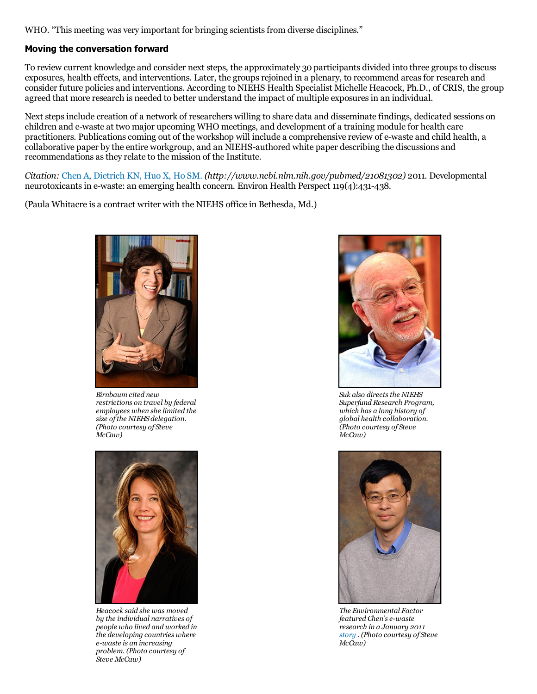WHO. "This meeting was very important for bringing scientists from diverse disciplines."

## **Moving the conversation forward**

To review current knowledge and consider next steps, the approximately 30 participants divided into three groups to discuss exposures, health effects, and interventions. Later, the groups rejoined in a plenary, to recommend areas for research and consider future policies and interventions. According to NIEHS Health Specialist Michelle Heacock, Ph.D., of CRIS, the group agreed that more research is needed to better understand the impact of multiple exposuresin an individual.

Next stepsinclude creation of a network of researchers willing to share data and disseminate findings, dedicated sessions on children and e-waste at two major upcoming WHO meetings, and development of a training module for health care practitioners. Publicationscoming out of the workshop will include a comprehensive review of e-waste and child health, a collaborative paper by the entire workgroup, and an NIEHS-authored white paper describing the discussions and recommendations asthey relate to the mission of the Institute.

*Citation:* Chen A, [Dietrich](http://www.ncbi.nlm.nih.gov/pubmed/21081302) KN, Huo X, Ho SM. *(http://www.ncbi.nlm.nih.gov/pubmed/21081302)* 2011. Developmental neurotoxicantsin e-waste: an emerging health concern. Environ Health Perspect 119(4):431-438.

(Paula Whitacre is a contract writer with the NIEHS office in Bethesda, Md.)



*Birnbaum cited new restrictions on travel by federal employees when she limited the size ofthe NIEHS delegation. (Photo courtesy of Steve McCaw)*



*Heacock said she was moved by the individual narratives of people who lived and worked in the developing countries where e-waste is an increasing problem. (Photo courtesy of Steve McCaw)*



 $Suk$  *also directs the NIEHS Superfund Research Program, which has a long history of global health collaboration. (Photo courtesy of Steve McCaw)*



*The Environmental Factor featured Chen's e-waste research in a January 2011 [story](/news/newsletter/2011/january/science-review.cfm) . (Photo courtesy of Steve McCaw)*